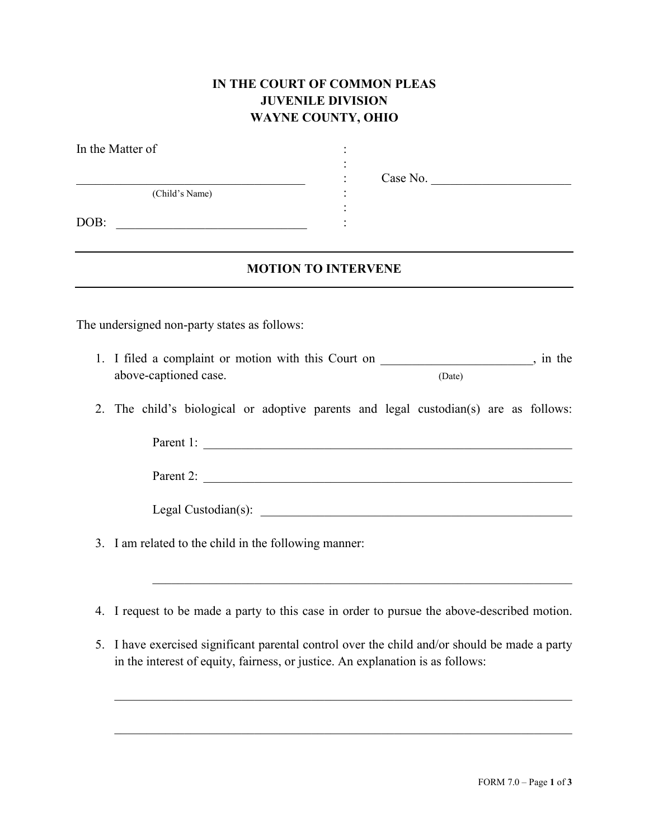## **IN THE COURT OF COMMON PLEAS JUVENILE DIVISION WAYNE COUNTY, OHIO**

| In the Matter of                                                                                                                        |  |          |  |  |  |  |
|-----------------------------------------------------------------------------------------------------------------------------------------|--|----------|--|--|--|--|
|                                                                                                                                         |  | Case No. |  |  |  |  |
| <u> 1990 - Johann John Stoff, market fan de Amerikaanske kommunister oant it fan de Amerikaanske kommunister fan </u><br>(Child's Name) |  |          |  |  |  |  |
| DOB:<br><u> 1989 - Johann John Stein, market fan de Amerikaanske kommunister (</u>                                                      |  |          |  |  |  |  |
| <b>MOTION TO INTERVENE</b>                                                                                                              |  |          |  |  |  |  |
|                                                                                                                                         |  |          |  |  |  |  |
| The undersigned non-party states as follows:                                                                                            |  |          |  |  |  |  |
| 1. I filed a complaint or motion with this Court on ____________________, in the                                                        |  |          |  |  |  |  |
| above-captioned case.                                                                                                                   |  | (Date)   |  |  |  |  |
| The child's biological or adoptive parents and legal custodian(s) are as follows:<br>2.                                                 |  |          |  |  |  |  |
| Parent 1:                                                                                                                               |  |          |  |  |  |  |
|                                                                                                                                         |  |          |  |  |  |  |
|                                                                                                                                         |  |          |  |  |  |  |
| 3. I am related to the child in the following manner:                                                                                   |  |          |  |  |  |  |
|                                                                                                                                         |  |          |  |  |  |  |

- 4. I request to be made a party to this case in order to pursue the above-described motion.
- 5. I have exercised significant parental control over the child and/or should be made a party in the interest of equity, fairness, or justice. An explanation is as follows:

 $\_$  , and the set of the set of the set of the set of the set of the set of the set of the set of the set of the set of the set of the set of the set of the set of the set of the set of the set of the set of the set of th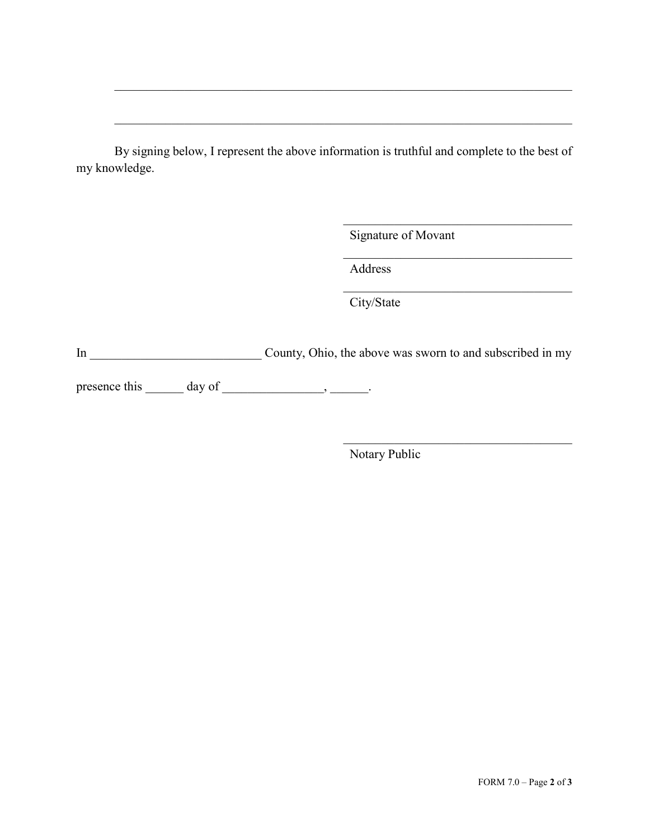By signing below, I represent the above information is truthful and complete to the best of my knowledge.

Signature of Movant

 $\mathcal{L}_\mathcal{L}$ 

 $\mathcal{L}_\mathcal{L}$ 

 $\mathcal{L}_\mathcal{L}$ 

Address

City/State

In \_\_\_\_\_\_\_\_\_\_\_\_\_\_\_\_\_\_\_\_\_\_\_\_\_\_\_ County, Ohio, the above was sworn to and subscribed in my

presence this  $\_\_\_$  day of  $\_\_\_\_\_\_\_\$ .

Notary Public